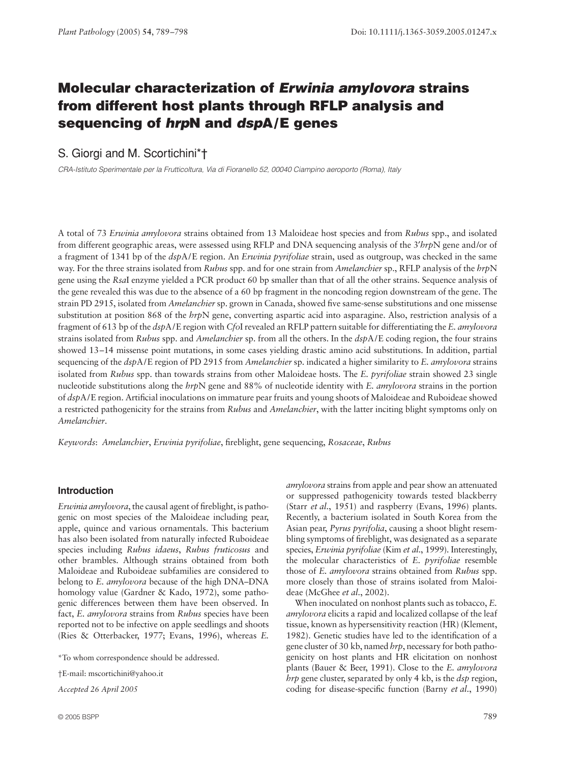# **Molecular characterization of** *Erwinia amylovora* **strains from different host plants through RFLP analysis and sequencing of** *hrp***N and** *dsp***A/E genes**

# S. Giorgi and M. Scortichini\*†

*CRA-Istituto Sperimentale per la Frutticoltura, Via di Fioranello 52, 00040 Ciampino aeroporto (Roma), Italy* 

A total of 73 *Erwinia amylovora* strains obtained from 13 Maloideae host species and from *Rubus* spp., and isolated from different geographic areas, were assessed using RFLP and DNA sequencing analysis of the 3′*hrp*N gene and/or of a fragment of 1341 bp of the *dsp*A/E region. An *Erwinia pyrifoliae* strain, used as outgroup, was checked in the same way. For the three strains isolated from *Rubus* spp. and for one strain from *Amelanchier* sp., RFLP analysis of the *hrp*N gene using the *Rsa*I enzyme yielded a PCR product 60 bp smaller than that of all the other strains. Sequence analysis of the gene revealed this was due to the absence of a 60 bp fragment in the noncoding region downstream of the gene. The strain PD 2915, isolated from *Amelanchier* sp. grown in Canada, showed five same-sense substitutions and one missense substitution at position 868 of the *hrp*N gene, converting aspartic acid into asparagine. Also, restriction analysis of a fragment of 613 bp of the *dsp*A/E region with *Cfo*I revealed an RFLP pattern suitable for differentiating the *E. amylovora* strains isolated from *Rubus* spp. and *Amelanchier* sp. from all the others. In the *dsp*A/E coding region, the four strains showed 13–14 missense point mutations, in some cases yielding drastic amino acid substitutions. In addition, partial sequencing of the *dsp*A/E region of PD 2915 from *Amelanchier* sp. indicated a higher similarity to *E. amylovora* strains isolated from *Rubus* spp. than towards strains from other Maloideae hosts. The *E. pyrifoliae* strain showed 23 single nucleotide substitutions along the *hrp*N gene and 88% of nucleotide identity with *E. amylovora* strains in the portion of *dsp*A/E region. Artificial inoculations on immature pear fruits and young shoots of Maloideae and Ruboideae showed a restricted pathogenicity for the strains from *Rubus* and *Amelanchier*, with the latter inciting blight symptoms only on *Amelanchier*.

*Keywords*: *Amelanchier*, *Erwinia pyrifoliae*, fireblight, gene sequencing, *Rosaceae*, *Rubus*

# **Introduction**

*Erwinia amylovora*, the causal agent of fireblight, is pathogenic on most species of the Maloideae including pear, apple, quince and various ornamentals. This bacterium has also been isolated from naturally infected Ruboideae species including *Rubus idaeus*, *Rubus fruticosus* and other brambles. Although strains obtained from both Maloideae and Ruboideae subfamilies are considered to belong to *E. amylovora* because of the high DNA–DNA homology value (Gardner & Kado, 1972), some pathogenic differences between them have been observed. In fact, *E. amylovora* strains from *Rubus* species have been reported not to be infective on apple seedlings and shoots (Ries & Otterbacker, 1977; Evans, 1996), whereas *E.*

\*To whom correspondence should be addressed.

†E-mail: mscortichini@yahoo.it

*Accepted 26 April 2005*

*amylovora* strains from apple and pear show an attenuated or suppressed pathogenicity towards tested blackberry (Starr *et al*., 1951) and raspberry (Evans, 1996) plants. Recently, a bacterium isolated in South Korea from the Asian pear, *Pyrus pyrifolia*, causing a shoot blight resembling symptoms of fireblight, was designated as a separate species, *Erwinia pyrifoliae* (Kim *et al*., 1999). Interestingly, the molecular characteristics of *E. pyrifoliae* resemble those of *E. amylovora* strains obtained from *Rubus* spp. more closely than those of strains isolated from Maloideae (McGhee *et al*., 2002).

When inoculated on nonhost plants such as tobacco, *E. amylovora* elicits a rapid and localized collapse of the leaf tissue, known as hypersensitivity reaction (HR) (Klement, 1982). Genetic studies have led to the identification of a gene cluster of 30 kb, named *hrp*, necessary for both pathogenicity on host plants and HR elicitation on nonhost plants (Bauer & Beer, 1991). Close to the *E. amylovora hrp* gene cluster, separated by only 4 kb, is the *dsp* region, coding for disease-specific function (Barny *et al*., 1990)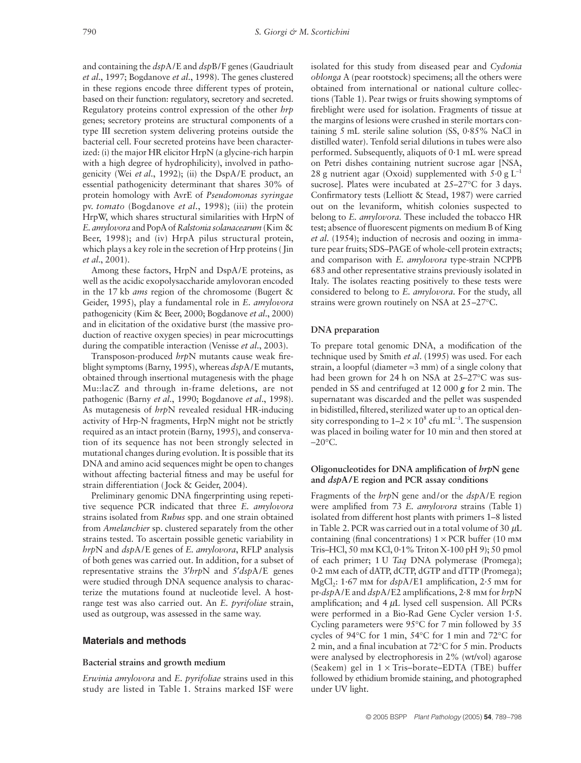and containing the *dsp*A/E and *dsp*B/F genes (Gaudriault *et al*., 1997; Bogdanove *et al*., 1998). The genes clustered in these regions encode three different types of protein, based on their function: regulatory, secretory and secreted. Regulatory proteins control expression of the other *hrp* genes; secretory proteins are structural components of a type III secretion system delivering proteins outside the bacterial cell. Four secreted proteins have been characterized: (i) the major HR elicitor HrpN (a glycine-rich harpin with a high degree of hydrophilicity), involved in pathogenicity (Wei *et al*., 1992); (ii) the DspA/E product, an essential pathogenicity determinant that shares 30% of protein homology with AvrE of *Pseudomonas syringae* pv. *tomato* (Bogdanove *et al*., 1998); (iii) the protein HrpW, which shares structural similarities with HrpN of *E. amylovora* and PopA of *Ralstonia solanacearum* (Kim & Beer, 1998); and (iv) HrpA pilus structural protein, which plays a key role in the secretion of Hrp proteins ( Jin *et al*., 2001).

Among these factors, HrpN and DspA/E proteins, as well as the acidic exopolysaccharide amylovoran encoded in the 17 kb *ams* region of the chromosome (Bugert & Geider, 1995), play a fundamental role in *E. amylovora* pathogenicity (Kim & Beer, 2000; Bogdanove *et al*., 2000) and in elicitation of the oxidative burst (the massive production of reactive oxygen species) in pear microcuttings during the compatible interaction (Venisse *et al*., 2003).

Transposon-produced *hrp*N mutants cause weak fireblight symptoms (Barny, 1995), whereas *dsp*A/E mutants, obtained through insertional mutagenesis with the phage Mu::lacZ and through in-frame deletions, are not pathogenic (Barny *et al*., 1990; Bogdanove *et al*., 1998). As mutagenesis of *hrp*N revealed residual HR-inducing activity of Hrp-N fragments, HrpN might not be strictly required as an intact protein (Barny, 1995), and conservation of its sequence has not been strongly selected in mutational changes during evolution. It is possible that its DNA and amino acid sequences might be open to changes without affecting bacterial fitness and may be useful for strain differentiation (Jock & Geider, 2004).

Preliminary genomic DNA fingerprinting using repetitive sequence PCR indicated that three *E. amylovora* strains isolated from *Rubus* spp. and one strain obtained from *Amelanchier* sp. clustered separately from the other strains tested. To ascertain possible genetic variability in *hrp*N and *dsp*A/E genes of *E. amylovora*, RFLP analysis of both genes was carried out. In addition, for a subset of representative strains the 3′*hrp*N and 5′*dsp*A/E genes were studied through DNA sequence analysis to characterize the mutations found at nucleotide level. A hostrange test was also carried out. An *E. pyrifoliae* strain, used as outgroup, was assessed in the same way.

## **Materials and methods**

#### **Bacterial strains and growth medium**

*Erwinia amylovora* and *E. pyrifoliae* strains used in this study are listed in Table 1. Strains marked ISF were

isolated for this study from diseased pear and *Cydonia oblonga* A (pear rootstock) specimens; all the others were obtained from international or national culture collections (Table 1). Pear twigs or fruits showing symptoms of fireblight were used for isolation. Fragments of tissue at the margins of lesions were crushed in sterile mortars containing 5 mL sterile saline solution (SS, 0·85% NaCl in distilled water). Tenfold serial dilutions in tubes were also performed. Subsequently, aliquots of 0·1 mL were spread on Petri dishes containing nutrient sucrose agar [NSA, 28 g nutrient agar (Oxoid) supplemented with  $5.0 \text{ g L}^{-1}$ sucrose]. Plates were incubated at 25–27°C for 3 days. Confirmatory tests (Lelliott & Stead, 1987) were carried out on the levaniform, whitish colonies suspected to belong to *E. amylovora.* These included the tobacco HR test; absence of fluorescent pigments on medium B of King *et al*. (1954); induction of necrosis and oozing in immature pear fruits; SDS–PAGE of whole-cell protein extracts; and comparison with *E. amylovora* type-strain NCPPB 683 and other representative strains previously isolated in Italy. The isolates reacting positively to these tests were considered to belong to *E. amylovora*. For the study, all strains were grown routinely on NSA at 25–27°C.

#### **DNA preparation**

To prepare total genomic DNA, a modification of the technique used by Smith *et al*. (1995) was used. For each strain, a loopful (diameter  $\approx$ 3 mm) of a single colony that had been grown for 24 h on NSA at 25–27°C was suspended in SS and centrifuged at 12 000 *g* for 2 min. The supernatant was discarded and the pellet was suspended in bidistilled, filtered, sterilized water up to an optical density corresponding to  $1-2 \times 10^8$  cfu mL<sup>-1</sup>. The suspension was placed in boiling water for 10 min and then stored at −20°C.

## **Oligonucleotides for DNA amplification of** *hrp***N gene and** *dsp***A/E region and PCR assay conditions**

Fragments of the *hrp*N gene and/or the *dsp*A/E region were amplified from 73 *E. amylovora* strains (Table 1) isolated from different host plants with primers 1–8 listed in Table 2. PCR was carried out in a total volume of 30  $\mu$ L containing (final concentrations)  $1 \times PCR$  buffer (10 mm Tris–HCl, 50 mm KCl, 0·1% Triton X-100 pH 9); 50 pmol of each primer; 1 U *Taq* DNA polymerase (Promega); 0·2 mm each of dATP, dCTP, dGTP and dTTP (Promega); MgCl<sub>2</sub>: 1.67 mm for *dspA*/E1 amplification, 2.5 mm for pr-*dsp*A/E and *dsp*A/E2 amplifications, 2·8 mm for *hrp*N amplification; and  $4 \mu L$  lysed cell suspension. All PCRs were performed in a Bio-Rad Gene Cycler version 1·5. Cycling parameters were 95°C for 7 min followed by 35 cycles of 94°C for 1 min, 54°C for 1 min and 72°C for 2 min, and a final incubation at 72°C for 5 min. Products were analysed by electrophoresis in 2% (wt/vol) agarose (Seakem) gel in  $1 \times$  Tris–borate–EDTA (TBE) buffer followed by ethidium bromide staining, and photographed under UV light.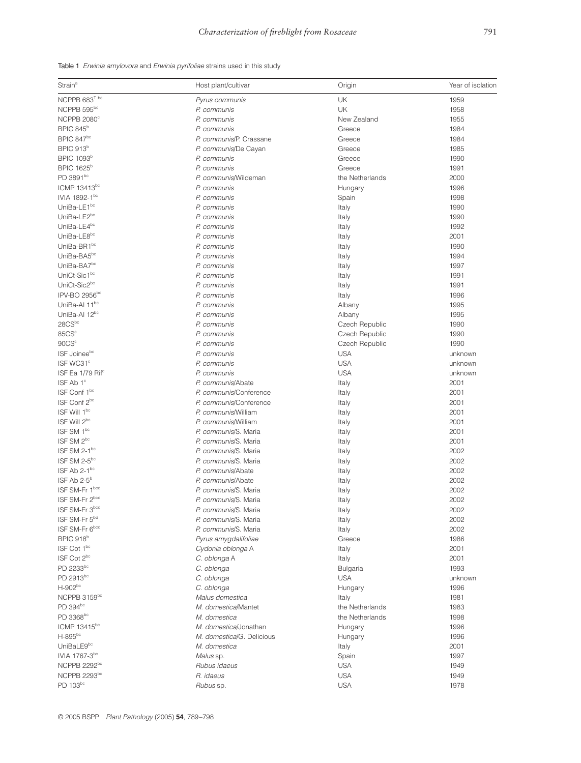|  |  | Table 1 Erwinia amylovora and Erwinia pyrifoliae strains used in this study |  |  |  |  |  |  |  |  |
|--|--|-----------------------------------------------------------------------------|--|--|--|--|--|--|--|--|
|--|--|-----------------------------------------------------------------------------|--|--|--|--|--|--|--|--|

| Strain <sup>a</sup>           | Host plant/cultivar       | Origin          | Year of isolation |
|-------------------------------|---------------------------|-----------------|-------------------|
| NCPPB 683 <sup>T bc</sup>     | Pyrus communis            | <b>UK</b>       | 1959              |
| NCPPB 595bc                   | P. communis               | <b>UK</b>       | 1958              |
| NCPPB 2080°                   | P. communis               | New Zealand     | 1955              |
| <b>BPIC 845</b> <sup>b</sup>  | P. communis               | Greece          | 1984              |
| <b>BPIC 847</b> bc            | P. communis/P. Crassane   | Greece          | 1984              |
| BPIC 913 <sup>b</sup>         | P. communis/De Cayan      | Greece          | 1985              |
| <b>BPIC 1093</b> b            | P. communis               | Greece          | 1990              |
| <b>BPIC 1625</b> <sup>b</sup> | P. communis               | Greece          | 1991              |
| PD 3891 <sup>bc</sup>         | P. communis/Wildeman      | the Netherlands | 2000              |
| ICMP 13413bc                  |                           |                 | 1996              |
| IVIA 1892-1bc                 | P. communis               | Hungary         |                   |
|                               | P. communis               | Spain           | 1998              |
| UniBa-LE1bc                   | P. communis               | Italy           | 1990              |
| UniBa-LE2bc                   | P. communis               | Italy           | 1990              |
| UniBa-LE4bc                   | P. communis               | Italy           | 1992              |
| UniBa-LE8bc                   | P. communis               | Italy           | 2001              |
| UniBa-BR1bc                   | P. communis               | Italy           | 1990              |
| UniBa-BA5bc                   | P. communis               | Italy           | 1994              |
| UniBa-BA7bc                   | P. communis               | Italy           | 1997              |
| UniCt-Sic1bc                  | P. communis               | Italy           | 1991              |
| UniCt-Sic2bc                  | P. communis               | Italy           | 1991              |
| IPV-BO 2956 <sup>bc</sup>     | P. communis               | Italy           | 1996              |
| UniBa-Al 11bc                 | P. communis               | Albany          | 1995              |
| UniBa-Al 12bc                 | P. communis               | Albany          | 1995              |
| 28CSbc                        | P. communis               | Czech Republic  | 1990              |
| 85CS <sup>c</sup>             | P. communis               | Czech Republic  | 1990              |
| 90CS <sup>c</sup>             | P. communis               | Czech Republic  | 1990              |
| ISF Joineebc                  | P. communis               | <b>USA</b>      | unknown           |
| ISF WC31 <sup>c</sup>         | P. communis               | <b>USA</b>      | unknown           |
| ISF Ea 1/79 Rif <sup>c</sup>  | P. communis               | <b>USA</b>      | unknown           |
| ISF Ab 1°                     | P. communis/Abate         | Italy           | 2001              |
| ISF Conf 1bc                  | P. communis/Conference    | Italy           | 2001              |
| ISF Conf 2bc                  | P. communis/Conference    | Italy           | 2001              |
| ISF Will 1bc                  | P. communis/William       |                 | 2001              |
| ISF Will 2bc                  | P. communis/William       | Italy           | 2001              |
| ISF SM 1bc                    | P. communis/S. Maria      | Italy           | 2001              |
| ISF SM 2 <sup>bc</sup>        |                           | Italy           |                   |
| ISF SM 2-1bc                  | P. communis/S. Maria      | Italy           | 2001              |
|                               | P. communis/S. Maria      | Italy           | 2002              |
| ISF SM 2-5bc                  | P. communis/S. Maria      | Italy           | 2002              |
| ISF Ab 2-1 <sup>bc</sup>      | P. communis/Abate         | Italy           | 2002              |
| ISF Ab 2-5 <sup>b</sup>       | P. communis/Abate         | Italy           | 2002              |
| ISF SM-Fr 1bcd                | P. communis/S. Maria      | Italy           | 2002              |
| ISF SM-Fr 2bcd                | P. communis/S. Maria      | Italy           | 2002              |
| ISF SM-Fr 3bcd                | P. communis/S. Maria      | Italy           | 2002              |
| ISF SM-Fr 5 <sup>bd</sup>     | P. communis/S. Maria      | Italy           | 2002              |
| ISF SM-Fr 6bcd                | P. communis/S. Maria      | Italy           | 2002              |
| BPIC 918 <sup>b</sup>         | Pyrus amygdalifoliae      | Greece          | 1986              |
| ISF Cot 1bc                   | Cydonia oblonga A         | Italy           | 2001              |
| ISF Cot 2 <sup>bc</sup>       | C. oblonga A              | Italy           | 2001              |
| PD 2233bc                     | C. oblonga                | <b>Bulgaria</b> | 1993              |
| PD 2913bc                     | C. oblonga                | <b>USA</b>      | unknown           |
| $H-902^{bc}$                  | C. oblonga                | Hungary         | 1996              |
| NCPPB 3159bc                  | Malus domestica           | Italy           | 1981              |
| PD 394bc                      | M. domestica/Mantet       | the Netherlands | 1983              |
| PD 3368 <sup>bc</sup>         | M. domestica              | the Netherlands | 1998              |
| ICMP 13415 <sup>bc</sup>      | M. domestica/Jonathan     | Hungary         | 1996              |
| H-895bc                       | M. domestica/G. Delicious | Hungary         | 1996              |
| UniBaLE9bc                    | M. domestica              | Italy           | 2001              |
| IVIA 1767-3 <sup>bc</sup>     | Malus sp.                 | Spain           | 1997              |
| NCPPB 2292bc                  | Rubus idaeus              | <b>USA</b>      | 1949              |
| NCPPB 2293bc                  | R. idaeus                 | <b>USA</b>      | 1949              |
| PD 103bc                      | Rubus sp.                 | <b>USA</b>      | 1978              |
|                               |                           |                 |                   |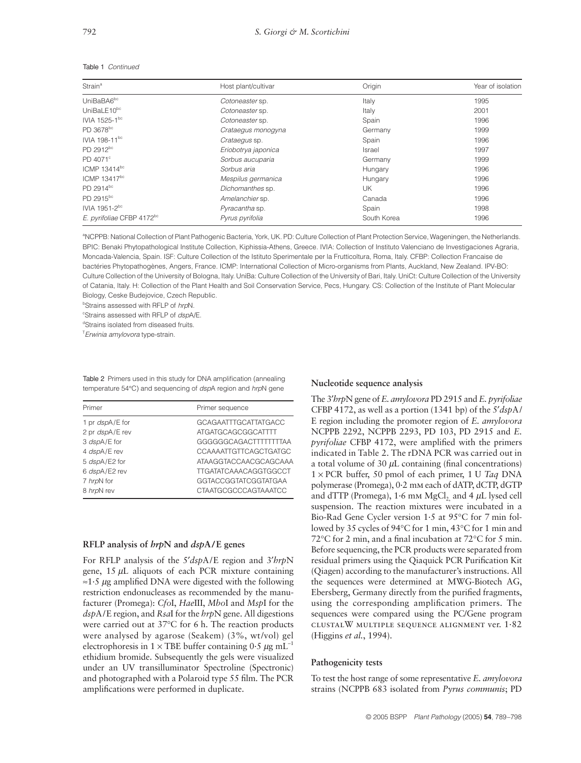| Strain <sup>a</sup>                   | Host plant/cultivar | Origin      | Year of isolation |  |
|---------------------------------------|---------------------|-------------|-------------------|--|
| UniBaBA6 <sup>bc</sup>                | Cotoneaster sp.     | Italy       | 1995              |  |
| UniBaLE10 <sup>bc</sup>               | Cotoneaster sp.     | Italy       | 2001              |  |
| IVIA 1525-1bc                         | Cotoneaster sp.     | Spain       | 1996              |  |
| PD 3678 <sup>bc</sup>                 | Crataegus monogyna  | Germany     | 1999              |  |
| IVIA 198-11 <sup>bc</sup>             | Crataegus sp.       | Spain       | 1996              |  |
| PD 2912 <sup>bc</sup>                 | Eriobotrya japonica | Israel      | 1997              |  |
| PD 4071 <sup>c</sup>                  | Sorbus aucuparia    | Germany     | 1999              |  |
| ICMP 13414 <sup>bc</sup>              | Sorbus aria         | Hungary     | 1996              |  |
| ICMP 13417bc                          | Mespilus germanica  | Hungary     | 1996              |  |
| PD 2914 <sup>bc</sup>                 | Dichomanthes sp.    | UK          | 1996              |  |
| PD 2915 <sup>bc</sup>                 | Amelanchier sp.     | Canada      | 1996              |  |
| IVIA 1951-2 <sup>bc</sup>             | Pyracantha sp.      | Spain       | 1998              |  |
| E. pyrifoliae CFBP 4172 <sup>bc</sup> | Pyrus pyrifolia     | South Korea | 1996              |  |
|                                       |                     |             |                   |  |

#### Table 1 *Continued*

<sup>a</sup>NCPPB: National Collection of Plant Pathogenic Bacteria, York, UK. PD: Culture Collection of Plant Protection Service, Wageningen, the Netherlands. BPIC: Benaki Phytopathological Institute Collection, Kiphissia-Athens, Greece. IVIA: Collection of Instituto Valenciano de Investigaciones Agraria, Moncada-Valencia, Spain. ISF: Culture Collection of the Istituto Sperimentale per la Frutticoltura, Roma, Italy. CFBP: Collection Francaise de bactéries Phytopathogènes, Angers, France. ICMP: International Collection of Micro-organisms from Plants, Auckland, New Zealand. IPV-BO: Culture Collection of the University of Bologna, Italy. UniBa: Culture Collection of the University of Bari, Italy. UniCt: Culture Collection of the University of Catania, Italy. H: Collection of the Plant Health and Soil Conservation Service, Pecs, Hungary. CS: Collection of the Institute of Plant Molecular Biology, Ceske Budejovice, Czech Republic.

b Strains assessed with RFLP of *hrp*N.

c Strains assessed with RFLP of *dsp*A/E.

dStrains isolated from diseased fruits.

T *Erwinia amylovora* type-strain.

Table 2 Primers used in this study for DNA amplification (annealing temperature 54°C) and sequencing of *dsp*A region and *hrp*N gene

| Primer          | Primer sequence              |
|-----------------|------------------------------|
| 1 pr dspA/E for | <b>GCAGAATTTGCATTATGACC</b>  |
| 2 pr dspA/E rev | <b>ATGATGCAGCGGCATTTT</b>    |
| 3 dspA/E for    | GGGGGGCAGACTTTTTTTAA         |
| 4 dspA/E rev    | CCAAAATTGTTCAGCTGATGC        |
| 5 dspA/E2 for   | ATAAGGTACCAACGCAGCAAA        |
| 6 dspA/E2 rev   | <b>TTGATATCAAACAGGTGGCCT</b> |
| 7 hrpN for      | <b>GGTACCGGTATCGGTATGAA</b>  |
| 8 hrpN rev      | CTAATGCGCCCAGTAAATCC         |
|                 |                              |

## **RFLP analysis of** *hrp***N and** *dsp***A/E genes**

For RFLP analysis of the 5′*dsp*A/E region and 3′*hrp*N gene,  $15 \mu L$  aliquots of each PCR mixture containing  $\approx$ 1.5 µg amplified DNA were digested with the following restriction endonucleases as recommended by the manufacturer (Promega): *Cfo*I, *Hae*III, *Mbo*I and *Msp*I for the *dsp*A/E region, and *Rsa*I for the *hrp*N gene. All digestions were carried out at 37°C for 6 h. The reaction products were analysed by agarose (Seakem) (3%, wt/vol) gel electrophoresis in 1 × TBE buffer containing  $0.5 \mu g$  mL<sup>-1</sup> ethidium bromide. Subsequently the gels were visualized under an UV transilluminator Spectroline (Spectronic) and photographed with a Polaroid type 55 film. The PCR amplifications were performed in duplicate.

#### **Nucleotide sequence analysis**

The 3′*hrp*N gene of *E. amylovora* PD 2915 and *E. pyrifoliae* CFBP 4172, as well as a portion (1341 bp) of the 5′*dsp*A/ E region including the promoter region of *E. amylovora* NCPPB 2292, NCPPB 2293, PD 103, PD 2915 and *E. pyrifoliae* CFBP 4172, were amplified with the primers indicated in Table 2. The rDNA PCR was carried out in a total volume of  $30 \mu L$  containing (final concentrations) 1 × PCR buffer, 50 pmol of each primer, 1 U *Taq* DNA polymerase (Promega), 0·2 mm each of dATP, dCTP, dGTP and dTTP (Promega),  $1.6$  mm MgCl<sub>2</sub> and  $4 \mu$ L lysed cell suspension. The reaction mixtures were incubated in a Bio-Rad Gene Cycler version 1·5 at 95°C for 7 min followed by 35 cycles of 94°C for 1 min, 43°C for 1 min and 72°C for 2 min, and a final incubation at 72°C for 5 min. Before sequencing, the PCR products were separated from residual primers using the Qiaquick PCR Purification Kit (Qiagen) according to the manufacturer's instructions. All the sequences were determined at MWG-Biotech AG, Ebersberg, Germany directly from the purified fragments, using the corresponding amplification primers. The sequences were compared using the PC/Gene program clustalW multiple sequence alignment ver. 1·82 (Higgins *et al.*, 1994).

#### **Pathogenicity tests**

To test the host range of some representative *E. amylovora* strains (NCPPB 683 isolated from *Pyrus communis*; PD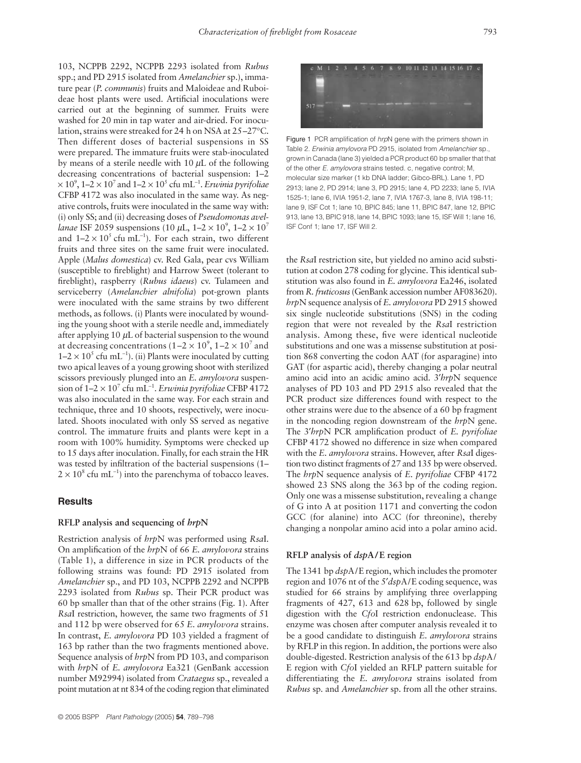103, NCPPB 2292, NCPPB 2293 isolated from *Rubus* spp.; and PD 2915 isolated from *Amelanchier* sp.), immature pear (*P. communis*) fruits and Maloideae and Ruboideae host plants were used. Artificial inoculations were carried out at the beginning of summer. Fruits were washed for 20 min in tap water and air-dried. For inoculation, strains were streaked for 24 h on NSA at 25–27°C. Then different doses of bacterial suspensions in SS were prepared. The immature fruits were stab-inoculated by means of a sterile needle with 10  $\mu$ L of the following decreasing concentrations of bacterial suspension: 1–2  $\times$  10<sup>9</sup>, 1–2  $\times$  10<sup>7</sup> and 1–2  $\times$  10<sup>5</sup> cfu mL<sup>−1</sup>. *Erwinia pyrifoliae* CFBP 4172 was also inoculated in the same way. As negative controls, fruits were inoculated in the same way with: (i) only SS; and (ii) decreasing doses of *Pseudomonas avellanae* ISF 2059 suspensions (10  $\mu$ L, 1–2 × 10<sup>9</sup>, 1–2 × 10<sup>7</sup> and  $1-2 \times 10^5$  cfu mL<sup>-1</sup>). For each strain, two different fruits and three sites on the same fruit were inoculated. Apple (*Malus domestica*) cv. Red Gala, pear cvs William (susceptible to fireblight) and Harrow Sweet (tolerant to fireblight), raspberry (*Rubus idaeus*) cv. Tulameen and serviceberry (*Amelanchier alnifolia*) pot-grown plants were inoculated with the same strains by two different methods, as follows. (i) Plants were inoculated by wounding the young shoot with a sterile needle and, immediately after applying  $10 \mu L$  of bacterial suspension to the wound at decreasing concentrations (1–2  $\times$  10<sup>9</sup>, 1–2  $\times$  10<sup>7</sup> and  $1-2 \times 10^5$  cfu mL<sup>-1</sup>). (ii) Plants were inoculated by cutting two apical leaves of a young growing shoot with sterilized scissors previously plunged into an *E. amylovora* suspension of 1–2 × 107 cfu mL<sup>−</sup><sup>1</sup> . *Erwinia pyrifoliae* CFBP 4172 was also inoculated in the same way. For each strain and technique, three and 10 shoots, respectively, were inoculated. Shoots inoculated with only SS served as negative control. The immature fruits and plants were kept in a room with 100% humidity. Symptoms were checked up to 15 days after inoculation. Finally, for each strain the HR was tested by infiltration of the bacterial suspensions (1–  $2 \times 10^8$  cfu mL<sup>-1</sup>) into the parenchyma of tobacco leaves.

# **Results**

#### **RFLP analysis and sequencing of** *hrp***N**

Restriction analysis of *hrp*N was performed using *Rsa*I. On amplification of the *hrp*N of 66 *E. amylovora* strains (Table 1), a difference in size in PCR products of the following strains was found: PD 2915 isolated from *Amelanchier* sp., and PD 103, NCPPB 2292 and NCPPB 2293 isolated from *Rubus* sp. Their PCR product was 60 bp smaller than that of the other strains (Fig. 1). After *Rsa*I restriction, however, the same two fragments of 51 and 112 bp were observed for 65 *E. amylovora* strains. In contrast, *E. amylovora* PD 103 yielded a fragment of 163 bp rather than the two fragments mentioned above. Sequence analysis of *hrp*N from PD 103, and comparison with *hrp*N of *E. amylovora* Ea321 (GenBank accession number M92994) isolated from *Crataegus* sp., revealed a point mutation at nt 834 of the coding region that eliminated



Figure 1 PCR amplification of *hrp*N gene with the primers shown in Table 2. *Erwinia amylovora* PD 2915, isolated from *Amelanchier* sp., grown in Canada (lane 3) yielded a PCR product 60 bp smaller that that of the other *E. amylovora* strains tested. c, negative control; M, molecular size marker (1 kb DNA ladder; Gibco-BRL). Lane 1, PD 2913; lane 2, PD 2914; lane 3, PD 2915; lane 4, PD 2233; lane 5, IVIA 1525-1; lane 6, IVIA 1951-2, lane 7, IVIA 1767-3, lane 8, IVIA 198-11; lane 9, ISF Cot 1; lane 10, BPIC 845; lane 11, BPIC 847, lane 12, BPIC 913, lane 13, BPIC 918, lane 14, BPIC 1093; lane 15, ISF Will 1; lane 16, ISF Conf 1; lane 17, ISF Will 2.

the *Rsa*I restriction site, but yielded no amino acid substitution at codon 278 coding for glycine. This identical substitution was also found in *E. amylovora* Ea246, isolated from *R. fruticosus*(GenBank accession number AF083620). *hrp*N sequence analysis of *E. amylovora* PD 2915 showed six single nucleotide substitutions (SNS) in the coding region that were not revealed by the *Rsa*I restriction analysis. Among these, five were identical nucleotide substitutions and one was a missense substitution at position 868 converting the codon AAT (for asparagine) into GAT (for aspartic acid), thereby changing a polar neutral amino acid into an acidic amino acid. 3′*hrp*N sequence analyses of PD 103 and PD 2915 also revealed that the PCR product size differences found with respect to the other strains were due to the absence of a 60 bp fragment in the noncoding region downstream of the *hrp*N gene. The 3′*hrp*N PCR amplification product of *E. pyrifoliae* CFBP 4172 showed no difference in size when compared with the *E. amylovora* strains. However, after *Rsa*I digestion two distinct fragments of 27 and 135 bp were observed. The *hrp*N sequence analysis of *E. pyrifoliae* CFBP 4172 showed 23 SNS along the 363 bp of the coding region. Only one was a missense substitution, revealing a change of G into A at position 1171 and converting the codon GCC (for alanine) into ACC (for threonine), thereby changing a nonpolar amino acid into a polar amino acid.

#### **RFLP analysis of** *dsp***A/E region**

The 1341 bp *dsp*A/E region, which includes the promoter region and 1076 nt of the 5′*dsp*A/E coding sequence, was studied for 66 strains by amplifying three overlapping fragments of 427, 613 and 628 bp, followed by single digestion with the *Cfo*I restriction endonuclease. This enzyme was chosen after computer analysis revealed it to be a good candidate to distinguish *E. amylovora* strains by RFLP in this region. In addition, the portions were also double-digested. Restriction analysis of the 613 bp *dsp*A/ E region with *Cfo*I yielded an RFLP pattern suitable for differentiating the *E. amylovora* strains isolated from *Rubus* sp. and *Amelanchier* sp. from all the other strains.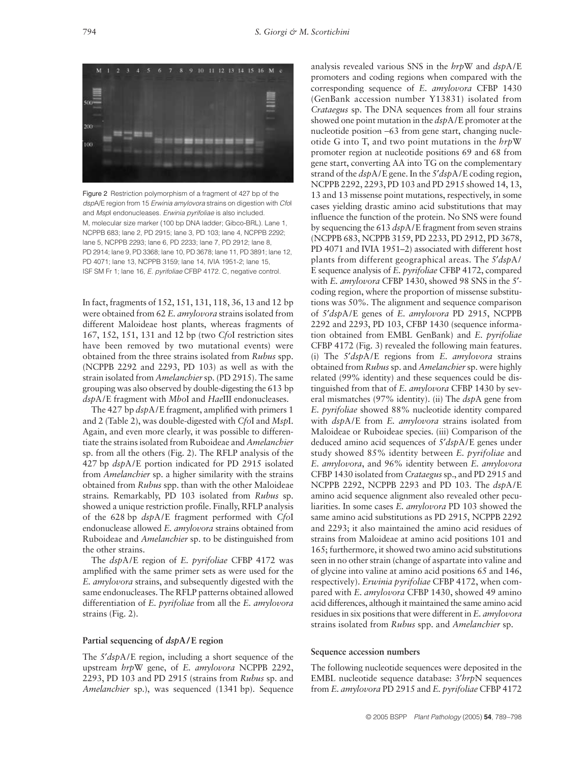

Figure 2 Restriction polymorphism of a fragment of 427 bp of the *dsp*A/E region from 15 *Erwinia amylovora* strains on digestion with *Cfo*I and *Msp*I endonucleases. *Erwinia pyrifoliae* is also included. M, molecular size marker (100 bp DNA ladder; Gibco-BRL). Lane 1, NCPPB 683; lane 2, PD 2915; lane 3, PD 103; lane 4, NCPPB 2292; lane 5, NCPPB 2293; lane 6, PD 2233; lane 7, PD 2912; lane 8, PD 2914; lane 9, PD 3368; lane 10, PD 3678; lane 11, PD 3891; lane 12, PD 4071; lane 13, NCPPB 3159; lane 14, IVIA 1951-2; lane 15, ISF SM Fr 1; lane 16, *E. pyrifoliae* CFBP 4172. C, negative control.

In fact, fragments of 152, 151, 131, 118, 36, 13 and 12 bp were obtained from 62 *E. amylovora* strains isolated from different Maloideae host plants, whereas fragments of 167, 152, 151, 131 and 12 bp (two *Cfo*I restriction sites have been removed by two mutational events) were obtained from the three strains isolated from *Rubus* spp. (NCPPB 2292 and 2293, PD 103) as well as with the strain isolated from *Amelanchier*sp. (PD 2915). The same grouping was also observed by double-digesting the 613 bp *dsp*A/E fragment with *Mbo*I and *Hae*III endonucleases.

The 427 bp *dsp*A/E fragment, amplified with primers 1 and 2 (Table 2), was double-digested with *Cfo*I and *Msp*I. Again, and even more clearly, it was possible to differentiate the strains isolated from Ruboideae and *Amelanchier* sp. from all the others (Fig. 2). The RFLP analysis of the 427 bp *dsp*A/E portion indicated for PD 2915 isolated from *Amelanchier* sp. a higher similarity with the strains obtained from *Rubus* spp. than with the other Maloideae strains*.* Remarkably, PD 103 isolated from *Rubus* sp. showed a unique restriction profile. Finally, RFLP analysis of the 628 bp *dsp*A/E fragment performed with *Cfo*I endonuclease allowed *E. amylovora* strains obtained from Ruboideae and *Amelanchier* sp. to be distinguished from the other strains.

The *dsp*A/E region of *E. pyrifoliae* CFBP 4172 was amplified with the same primer sets as were used for the *E. amylovora* strains, and subsequently digested with the same endonucleases. The RFLP patterns obtained allowed differentiation of *E. pyrifoliae* from all the *E. amylovora* strains (Fig. 2).

## **Partial sequencing of** *dsp***A/E region**

The 5′*dsp*A/E region, including a short sequence of the upstream *hrp*W gene, of *E. amylovora* NCPPB 2292, 2293, PD 103 and PD 2915 (strains from *Rubus* sp. and *Amelanchier* sp.), was sequenced (1341 bp). Sequence

analysis revealed various SNS in the *hrp*W and *dsp*A/E promoters and coding regions when compared with the corresponding sequence of *E. amylovora* CFBP 1430 (GenBank accession number Y13831) isolated from *Crataegus* sp. The DNA sequences from all four strains showed one point mutation in the *dsp*A/E promoter at the nucleotide position −63 from gene start, changing nucleotide G into T, and two point mutations in the *hrp*W promoter region at nucleotide positions 69 and 68 from gene start, converting AA into TG on the complementary strand of the *dsp*A/E gene. In the 5′*dsp*A/E coding region, NCPPB 2292, 2293, PD 103 and PD 2915 showed 14, 13, 13 and 13 missense point mutations, respectively, in some cases yielding drastic amino acid substitutions that may influence the function of the protein. No SNS were found by sequencing the 613 *dsp*A/E fragment from seven strains (NCPPB 683, NCPPB 3159, PD 2233, PD 2912, PD 3678, PD 4071 and IVIA 1951–2) associated with different host plants from different geographical areas. The 5′*dsp*A/ E sequence analysis of *E. pyrifoliae* CFBP 4172, compared with *E. amylovora* CFBP 1430, showed 98 SNS in the 5′ coding region, where the proportion of missense substitutions was 50%. The alignment and sequence comparison of 5′*dsp*A/E genes of *E. amylovora* PD 2915, NCPPB 2292 and 2293, PD 103, CFBP 1430 (sequence information obtained from EMBL GenBank) and *E. pyrifoliae* CFBP 4172 (Fig. 3) revealed the following main features. (i) The 5′*dsp*A/E regions from *E. amylovora* strains obtained from *Rubus*sp. and *Amelanchier*sp. were highly related (99% identity) and these sequences could be distinguished from that of *E. amylovora* CFBP 1430 by several mismatches (97% identity). (ii) The *dsp*A gene from *E. pyrifoliae* showed 88% nucleotide identity compared with *dsp*A/E from *E. amylovora* strains isolated from Maloideae or Ruboideae species. (iii) Comparison of the deduced amino acid sequences of 5′*dsp*A/E genes under study showed 85% identity between *E. pyrifoliae* and *E. amylovora*, and 96% identity between *E. amylovora* CFBP 1430 isolated from *Crataegus*sp., and PD 2915 and NCPPB 2292, NCPPB 2293 and PD 103. The *dsp*A/E amino acid sequence alignment also revealed other peculiarities. In some cases *E. amylovora* PD 103 showed the same amino acid substitutions as PD 2915, NCPPB 2292 and 2293; it also maintained the amino acid residues of strains from Maloideae at amino acid positions 101 and 165; furthermore, it showed two amino acid substitutions seen in no other strain (change of aspartate into valine and of glycine into valine at amino acid positions 65 and 146, respectively). *Erwinia pyrifoliae* CFBP 4172, when compared with *E. amylovora* CFBP 1430, showed 49 amino acid differences, although it maintained the same amino acid residues in six positions that were different in *E. amylovora* strains isolated from *Rubus* spp. and *Amelanchier* sp.

#### **Sequence accession numbers**

The following nucleotide sequences were deposited in the EMBL nucleotide sequence database: 3′*hrp*N sequences from *E. amylovora* PD 2915 and *E. pyrifoliae* CFBP 4172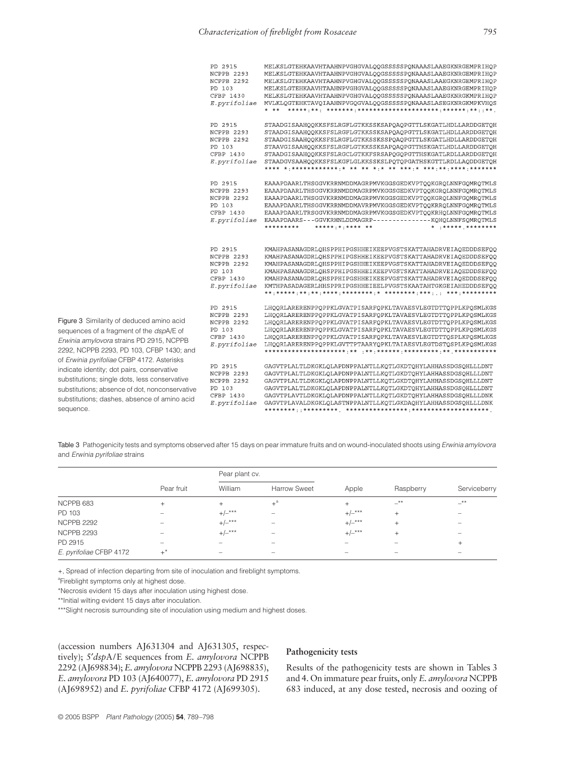| PD 2915<br>NCPPB 2293<br>NCPPB 2292<br>PD 103<br>CFBP 1430<br>E.pyrifoliae | MELKSLGTEHKAAVHTAAHNPVGHGVALQQGSSSSSPQNAAASLAAEGKNRGEMPRIHQP<br>MELKSLGTEHKAAVHTAAHNPVGHGVALQQGSSSSSPQNAAASLAAEGKNRGEMPRIHQP<br>MELKSLGTEHKAAVHTAAHNPVGHGVALQQGSSSSSPQNAAASLAAEGKNRGEMPRIHQP<br>MELKSLGTEHKAAVHTAAHNPVGHGVALQQGSSSSSPQNAAASLAAEGKNRGEMPRIHQP<br>MELKSLGTEHKAAVHTAAHNPVGHGVALQQGSSSSSPQNAAASLAAEGKNRGKMPRIHQP<br>MVLKLQGTEHKTAVQIAAHNPVGQGVALQQGSSSSSPQNAAASLASEGKNRGKMPKVHQS                                   |
|----------------------------------------------------------------------------|--------------------------------------------------------------------------------------------------------------------------------------------------------------------------------------------------------------------------------------------------------------------------------------------------------------------------------------------------------------------------------------------------------------------------------|
| PD 2915<br>NCPPB 2293<br>NCPPB 2292<br>PD 103<br>CFBP 1430<br>E.pyrifoliae | STAADGISAAHQQKKSFSLRGFLGTKKSSKSAPQAQPGTTLSKGATLHDLLARDDGETQH<br>STAADGISAAHQQKKSFSLRGFLGTKKSSKSAPQAQPGTTLSKGATLHDLLARDDGETQH<br>STAADGISAAHOOKKSFSLRGFLGTKKSSKSSPOAOPGTTLSKGATLHDLLARDDGETOH<br>STAAVGISAAHQQKKSFSLRGFLGTKKSSKSAPQAQPGTTHSKGATLHDLLARDDGETQH<br>STAADGISAAHQQKKSFSLRGCLGTKKFSRSAPQGQPGTTHSKGATLRDLLARDDGETQH<br>STAADGVSAAHQQKKSFSLKGFLGLKKSSKSLPQTQPGATHSKGTTLRDLLAQDDGETQH                                   |
| PD 2915<br>NCPPB 2293<br>NCPPB 2292<br>PD 103<br>CFBP 1430<br>E.pyrifoliae | EAAAPDAARLTHSGGVKRRNMDDMAGRPMVKGGSGEDKVPTQQKGRQLNNFGQMRQTMLS<br>EAAAPDAARLTHSGGVKRRNMDDMAGRPMVKGGSGEDKVPTQQKGRQLNNFGQMRQTMLS<br>EAAAPDAARLTHSGGVKRRNMDDMAGRPMVKGGSGEDKVPTQQKGRQLNNFGQMRQTMLS<br>EAAAPDAARLTHSGGVKRRNMDDMAVRPMVKGGSGEDKVPTQQKRRQLNNFGQMRQTMLS<br>EAAAPDAARLTRSGGVKRRNMDDMAGRPMVKGGSGEDKVPTQQKRHQLNNFGQMRQTMLS<br>EAAAPDAARS---GGVKRHNLDDMAGRP---------------KQHQLNNFSQMRQTMLS<br>* ****** ********<br>********* |
| PD 2915<br>NCPPB 2293<br>NCPPB 2292<br>PD 103<br>CFBP 1430<br>E.pyrifoliae | KMAHPASANAGDRLQHSPPHIPGSHHEIKEEPVGSTSKATTAHADRVEIAQEDDDSEFQQ<br>KMAHPASANAGDRLQHSPPHIPGSHHEIKEEPVGSTSKATTAHADRVEIAQEDDDSEFQQ<br>KMAHPASANAGDRLQHSPPHIPGSHHEIKEEPVGSTSKATTAHADRVEIAQEDDDSEFQQ<br>KMAHPASANAGDRLQHSPPHIPGSHHEIKEEPVGSTSKATTAHADRVEIAQEDDDSEFQQ<br>KMAHPASANAGDRLOHSPPHIPGSHHEIKEEPVGSTSKATTAHADRVEIAOEDDDSEFOO<br>KMTHPASADAGERLHHSPPRIPGSHHEIEELPVGSTSKAATAHTGKGEIAHEDDDSEFOO                                   |
| PD 2915<br>NCPPB 2293<br>NCPPB 2292<br>PD 103<br>CFBP 1430<br>E.pyrifoliae | LHQQRLARERENPPQPPKLGVATPISARFQPKLTAVAESVLEGTDTTQPPLKPQSMLKGS<br>LHOORLARERENPPOPPKLGVATPISARFOPKLTAVAESVLEGTDTTOPPLKPOSMLKGS<br>LHOORLARERENPPOPPKLGVATPISARFOPKLTAVAESVLEGTDTTOPPLKPOSMLKGS<br>LHOORLARERENPPOPPKLGVATPISARFOPKLTAVAESVLEGTDTTOPPLKPOSMLKGS<br>LHQQRLARERENPPQPPKLGVATPISARFQPKLTAVAESVLEGTDTTQSPLKPQSMLKGS<br>LHQQRLARERENPPQPPKLGVTTPTAARYQPKLTAIAESVLEGTDSTQSPLKPQSMLKGS                                   |
| PD 2915<br>NCPPB 2293<br>NCPPB 2292<br>PD 103<br>CFBP 1430<br>E.pyrifoliae | GAGVTPLALTLDKGKLQLAPDNPPALNTLLKQTLGKDTQHYLAHHASSDGSQHLLLDNT<br>GAGVTPLALTLDKGKLOLAPDNPPALNTLLKOTLGKDTOHYLAHHASSDGSOHLLLDNT<br>GAGVTPLALTLDKGKLOLAPDNPPALNTLLKOTLGKDTOHYLAHHASSDGSOHLLLDNT<br>GAGVTPLALTLDKGKLQLAPDNPPALNTLLKQTLGKDTQHYLAHHASSDGSQHLLLDNT<br>GAGVTPLAVTLDKGKLQLAPDNPPALNTLLKQTLGKDTQHYLAHHASSDGSQHLLLDNK<br>GAGVTPLAVALDKGKLOLASTNPPALNTLLKOTLGKDAOHYLAHHASSDGSOHLLLDNK                                         |

Figure 3 Similarity of deduced amino acid sequences of a fragment of the *dsp*A/E of *Erwinia amylovora* strains PD 2915, NCPPB 2292, NCPPB 2293, PD 103, CFBP 1430; and of *Erwinia pyrifoliae* CFBP 4172. Asterisks indicate identity; dot pairs, conservative substitutions; single dots, less conservative substitutions; absence of dot, nonconservative substitutions; dashes, absence of amino acid sequence.

Table 3 Pathogenicity tests and symptoms observed after 15 days on pear immature fruits and on wound-inoculated shoots using *Erwinia amylovora* and *Erwinia pyrifoliae* strains

|                         |                          | Pear plant cv.    |                          |                          |           |                                 |
|-------------------------|--------------------------|-------------------|--------------------------|--------------------------|-----------|---------------------------------|
|                         | Pear fruit               | William           | <b>Harrow Sweet</b>      | Apple                    | Raspberry | Serviceberry                    |
| NCPPB 683               | $^{+}$                   | $^{+}$            | $+$ <sup>a</sup>         | $^{+}$                   | $-***$    | $-$ **                          |
| PD 103                  |                          | $+/-***$          | $\sim$                   | $+/-***$                 | $^{+}$    | $\hspace{0.5cm}$                |
| <b>NCPPB 2292</b>       | $\overline{\phantom{a}}$ | $+/-***$          | $\overline{\phantom{0}}$ | $+/-***$                 | $^{+}$    | $\hspace{0.1mm}-\hspace{0.1mm}$ |
| <b>NCPPB 2293</b>       | $\overline{\phantom{a}}$ | $+/-***$          | $\hspace{0.05cm}$        | $+/-***$                 | $^{+}$    | $\hspace{0.5cm}$                |
| PD 2915                 | $\overline{\phantom{a}}$ |                   | $\overline{\phantom{a}}$ | $\overline{\phantom{a}}$ |           | $+$                             |
| E. pyrifoliae CFBP 4172 | $+^*$                    | $\hspace{0.05cm}$ | $\overline{\phantom{a}}$ | $\overline{\phantom{a}}$ |           | $\hspace{0.5cm}$                |

+, Spread of infection departing from site of inoculation and fireblight symptoms.

<sup>a</sup>Fireblight symptoms only at highest dose.

\*Necrosis evident 15 days after inoculation using highest dose.

\*\*Initial wilting evident 15 days after inoculation.

\*\*\*Slight necrosis surrounding site of inoculation using medium and highest doses.

(accession numbers AJ631304 and AJ631305, respectively); 5′*dsp*A/E sequences from *E. amylovora* NCPPB 2292 (AJ698834); *E. amylovora* NCPPB 2293 (AJ698835), *E. amylovora* PD 103 (AJ640077), *E. amylovora* PD 2915 (AJ698952) and *E. pyrifoliae* CFBP 4172 (AJ699305).

# **Pathogenicity tests**

Results of the pathogenicity tests are shown in Tables 3 and 4. On immature pear fruits, only *E. amylovora* NCPPB 683 induced, at any dose tested, necrosis and oozing of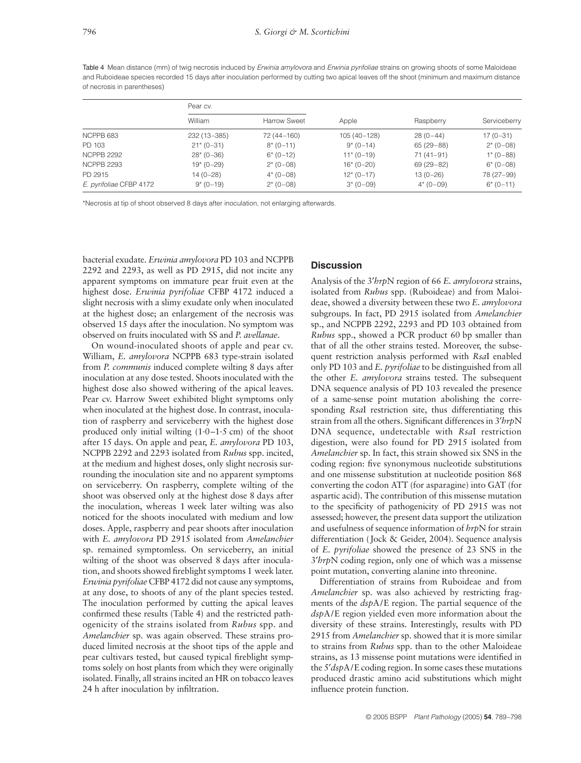Table 4 Mean distance (mm) of twig necrosis induced by *Erwinia amylovora* and *Erwinia pyrifoliae* strains on growing shoots of some Maloideae and Ruboideae species recorded 15 days after inoculation performed by cutting two apical leaves off the shoot (minimum and maximum distance of necrosis in parentheses)

|                         | Pear cv.       |                     |               |             |              |  |
|-------------------------|----------------|---------------------|---------------|-------------|--------------|--|
|                         | William        | <b>Harrow Sweet</b> | Apple         | Raspberry   | Serviceberry |  |
| NCPPB 683               | 232 (13 - 385) | 72 (44 - 160)       | $105(40-128)$ | $28(0-44)$  | $17(0-31)$   |  |
| PD 103                  | $21*(0-31)$    | $8*(0-11)$          | $9*(0-14)$    | $65(29-88)$ | $2*(0-08)$   |  |
| <b>NCPPB 2292</b>       | $28*(0-36)$    | $6*(0-12)$          | $11*(0-19)$   | $71(41-91)$ | $1*(0-88)$   |  |
| <b>NCPPB 2293</b>       | $19*(0-29)$    | $2*(0-08)$          | $16*(0-20)$   | $69(29-82)$ | $6*(0-08)$   |  |
| PD 2915                 | 14 (0-28)      | $4*(0-08)$          | $12*(0-17)$   | $13(0-26)$  | 78 (27-99)   |  |
| E. pyrifoliae CFBP 4172 | $9*(0-19)$     | $2*(0-08)$          | $3*(0-09)$    | $4*(0-09)$  | $6*(0-11)$   |  |

\*Necrosis at tip of shoot observed 8 days after inoculation, not enlarging afterwards.

bacterial exudate. *Erwinia amylovora* PD 103 and NCPPB 2292 and 2293, as well as PD 2915, did not incite any apparent symptoms on immature pear fruit even at the highest dose. *Erwinia pyrifoliae* CFBP 4172 induced a slight necrosis with a slimy exudate only when inoculated at the highest dose; an enlargement of the necrosis was observed 15 days after the inoculation. No symptom was observed on fruits inoculated with SS and *P. avellanae*.

On wound-inoculated shoots of apple and pear cv. William, *E. amylovora* NCPPB 683 type-strain isolated from *P. communis* induced complete wilting 8 days after inoculation at any dose tested. Shoots inoculated with the highest dose also showed withering of the apical leaves. Pear cv. Harrow Sweet exhibited blight symptoms only when inoculated at the highest dose. In contrast, inoculation of raspberry and serviceberry with the highest dose produced only initial wilting  $(1.0-1.5 \text{ cm})$  of the shoot after 15 days. On apple and pear, *E. amylovora* PD 103, NCPPB 2292 and 2293 isolated from *Rubus* spp. incited, at the medium and highest doses, only slight necrosis surrounding the inoculation site and no apparent symptoms on serviceberry. On raspberry, complete wilting of the shoot was observed only at the highest dose 8 days after the inoculation, whereas 1 week later wilting was also noticed for the shoots inoculated with medium and low doses. Apple, raspberry and pear shoots after inoculation with *E. amylovora* PD 2915 isolated from *Amelanchier* sp. remained symptomless. On serviceberry, an initial wilting of the shoot was observed 8 days after inoculation, and shoots showed fireblight symptoms 1 week later. *Erwinia pyrifoliae* CFBP 4172 did not cause any symptoms, at any dose, to shoots of any of the plant species tested. The inoculation performed by cutting the apical leaves confirmed these results (Table 4) and the restricted pathogenicity of the strains isolated from *Rubus* spp. and *Amelanchier* sp. was again observed. These strains produced limited necrosis at the shoot tips of the apple and pear cultivars tested, but caused typical fireblight symptoms solely on host plants from which they were originally isolated. Finally, all strains incited an HR on tobacco leaves 24 h after inoculation by infiltration.

# **Discussion**

Analysis of the 3′*hrp*N region of 66 *E. amylovora* strains, isolated from *Rubus* spp. (Ruboideae) and from Maloideae, showed a diversity between these two *E. amylovora* subgroups. In fact, PD 2915 isolated from *Amelanchier* sp., and NCPPB 2292, 2293 and PD 103 obtained from *Rubus* spp., showed a PCR product 60 bp smaller than that of all the other strains tested. Moreover, the subsequent restriction analysis performed with *Rsa*I enabled only PD 103 and *E. pyrifoliae* to be distinguished from all the other *E. amylovora* strains tested. The subsequent DNA sequence analysis of PD 103 revealed the presence of a same-sense point mutation abolishing the corresponding *Rsa*I restriction site, thus differentiating this strain from all the others. Significant differences in 3′*hrp*N DNA sequence, undetectable with *Rsa*I restriction digestion, were also found for PD 2915 isolated from *Amelanchier* sp. In fact, this strain showed six SNS in the coding region: five synonymous nucleotide substitutions and one missense substitution at nucleotide position 868 converting the codon ATT (for asparagine) into GAT (for aspartic acid). The contribution of this missense mutation to the specificity of pathogenicity of PD 2915 was not assessed; however, the present data support the utilization and usefulness of sequence information of *hrp*N for strain differentiation (Jock & Geider, 2004). Sequence analysis of *E. pyrifoliae* showed the presence of 23 SNS in the 3′*hrp*N coding region, only one of which was a missense point mutation, converting alanine into threonine.

Differentiation of strains from Ruboideae and from *Amelanchier* sp. was also achieved by restricting fragments of the *dsp*A/E region. The partial sequence of the *dsp*A/E region yielded even more information about the diversity of these strains. Interestingly, results with PD 2915 from *Amelanchier* sp. showed that it is more similar to strains from *Rubus* spp. than to the other Maloideae strains, as 13 missense point mutations were identified in the 5′*dsp*A/E coding region. In some cases these mutations produced drastic amino acid substitutions which might influence protein function.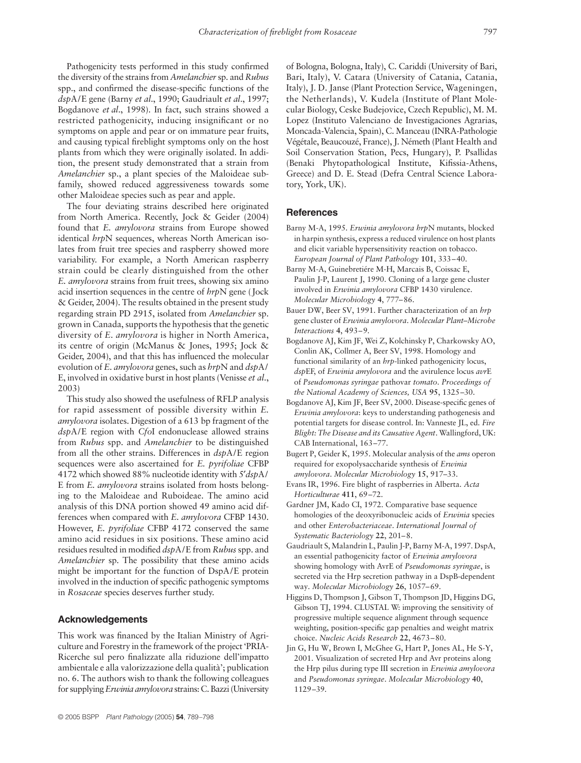Pathogenicity tests performed in this study confirmed the diversity of the strains from *Amelanchier*sp. and *Rubus* spp., and confirmed the disease-specific functions of the *dsp*A/E gene (Barny *et al*., 1990; Gaudriault *et al*., 1997; Bogdanove *et al*., 1998). In fact, such strains showed a restricted pathogenicity, inducing insignificant or no symptoms on apple and pear or on immature pear fruits, and causing typical fireblight symptoms only on the host plants from which they were originally isolated. In addition, the present study demonstrated that a strain from *Amelanchier* sp., a plant species of the Maloideae subfamily, showed reduced aggressiveness towards some other Maloideae species such as pear and apple.

The four deviating strains described here originated from North America. Recently, Jock & Geider (2004) found that *E. amylovora* strains from Europe showed identical *hrp*N sequences, whereas North American isolates from fruit tree species and raspberry showed more variability. For example, a North American raspberry strain could be clearly distinguished from the other *E. amylovora* strains from fruit trees, showing six amino acid insertion sequences in the centre of *hrp*N gene (Jock & Geider, 2004). The results obtained in the present study regarding strain PD 2915, isolated from *Amelanchier* sp. grown in Canada, supports the hypothesis that the genetic diversity of *E. amylovora* is higher in North America, its centre of origin (McManus & Jones, 1995; Jock & Geider, 2004), and that this has influenced the molecular evolution of *E. amylovora* genes, such as *hrp*N and *dsp*A/ E, involved in oxidative burst in host plants (Venisse *et al*., 2003)

This study also showed the usefulness of RFLP analysis for rapid assessment of possible diversity within *E. amylovora* isolates. Digestion of a 613 bp fragment of the *dsp*A/E region with *Cfo*I endonuclease allowed strains from *Rubus* spp. and *Amelanchier* to be distinguished from all the other strains. Differences in *dsp*A/E region sequences were also ascertained for *E. pyrifoliae* CFBP 4172 which showed 88% nucleotide identity with 5′*dsp*A/ E from *E. amylovora* strains isolated from hosts belonging to the Maloideae and Ruboideae. The amino acid analysis of this DNA portion showed 49 amino acid differences when compared with *E. amylovora* CFBP 1430. However, *E. pyrifoliae* CFBP 4172 conserved the same amino acid residues in six positions. These amino acid residues resulted in modified *dsp*A/E from *Rubus*spp. and *Amelanchier* sp. The possibility that these amino acids might be important for the function of DspA/E protein involved in the induction of specific pathogenic symptoms in *Rosaceae* species deserves further study.

## **Acknowledgements**

This work was financed by the Italian Ministry of Agriculture and Forestry in the framework of the project 'PRIA-Ricerche sul pero finalizzate alla riduzione dell'impatto ambientale e alla valorizzazione della qualità'; publication no. 6. The authors wish to thank the following colleagues for supplying *Erwinia amylovora* strains: C. Bazzi (University of Bologna, Bologna, Italy), C. Cariddi (University of Bari, Bari, Italy), V. Catara (University of Catania, Catania, Italy), J. D. Janse (Plant Protection Service, Wageningen, the Netherlands), V. Kudela (Institute of Plant Molecular Biology, Ceske Budejovice, Czech Republic), M. M. Lopez (Instituto Valenciano de Investigaciones Agrarias, Moncada-Valencia, Spain), C. Manceau (INRA-Pathologie Végétale, Beaucouzé, France), J. Németh (Plant Health and Soil Conservation Station, Pecs, Hungary), P. Psallidas (Benaki Phytopathological Institute, Kifissia-Athens, Greece) and D. E. Stead (Defra Central Science Laboratory, York, UK).

## **References**

- Barny M-A, 1995. *Erwinia amylovora hrp*N mutants, blocked in harpin synthesis, express a reduced virulence on host plants and elicit variable hypersensitivity reaction on tobacco. *European Journal of Plant Pathology* **101**, 333–40.
- Barny M-A, Guinebretiére M-H, Marcais B, Coissac E, Paulin J-P, Laurent J, 1990. Cloning of a large gene cluster involved in *Erwinia amylovora* CFBP 1430 virulence. *Molecular Microbiology* **4**, 777–86.
- Bauer DW, Beer SV, 1991. Further characterization of an *hrp* gene cluster of *Erwinia amylovora*. *Molecular Plant–Microbe Interactions* **4**, 493–9.
- Bogdanove AJ, Kim JF, Wei Z, Kolchinsky P, Charkowsky AO, Conlin AK, Collmer A, Beer SV, 1998. Homology and functional similarity of an *hrp*-linked pathogenicity locus, *dsp*EF, of *Erwinia amylovora* and the avirulence locus *avr*E of *Pseudomonas syringae* pathovar *tomato*. *Proceedings of the National Academy of Sciences, USA* **95**, 1325–30.
- Bogdanove AJ, Kim JF, Beer SV, 2000. Disease-specific genes of *Erwinia amylovora*: keys to understanding pathogenesis and potential targets for disease control. In: Vanneste JL, ed. *Fire Blight: The Disease and its Causative Agent*. Wallingford, UK: CAB International, 163–77.
- Bugert P, Geider K, 1995. Molecular analysis of the *ams* operon required for exopolysaccharide synthesis of *Erwinia amylovora*. *Molecular Microbiology* **15**, 917–33.
- Evans IR, 1996. Fire blight of raspberries in Alberta. *Acta Horticulturae* **411**, 69–72.
- Gardner JM, Kado CI, 1972. Comparative base sequence homologies of the deoxyribonucleic acids of *Erwinia* species and other *Enterobacteriaceae*. *International Journal of Systematic Bacteriology* **22**, 201–8.
- Gaudriault S, Malandrin L, Paulin J-P, Barny M-A, 1997. DspA, an essential pathogenicity factor of *Erwinia amylovora* showing homology with AvrE of *Pseudomonas syringae*, is secreted via the Hrp secretion pathway in a DspB-dependent way. *Molecular Microbiology* **26**, 1057–69.
- Higgins D, Thompson J, Gibson T, Thompson JD, Higgins DG, Gibson TJ, 1994. CLUSTAL W: improving the sensitivity of progressive multiple sequence alignment through sequence weighting, position-specific gap penalties and weight matrix choice. *Nucleic Acids Research* **22**, 4673–80.
- Jin G, Hu W, Brown I, McGhee G, Hart P, Jones AL, He S-Y, 2001. Visualization of secreted Hrp and Avr proteins along the Hrp pilus during type III secretion in *Erwinia amylovora* and *Pseudomonas syringae*. *Molecular Microbiology* **40**, 1129–39.